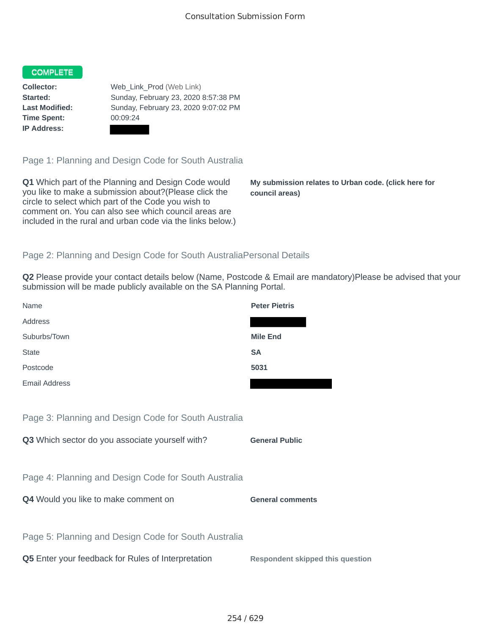## COMPLETE

**Time Spent:** 00:09:24 **IP Address:**

**Collector:** Web\_Link\_Prod (Web Link) **Started:** Sunday, February 23, 2020 8:57:38 PM **Last Modified:** Sunday, February 23, 2020 9:07:02 PM

Page 1: Planning and Design Code for South Australia

**Q1** Which part of the Planning and Design Code would you like to make a submission about?(Please click the circle to select which part of the Code you wish to comment on. You can also see which council areas are included in the rural and urban code via the links below.)

**My submission relates to Urban code. (click here for council areas)**

## Page 2: Planning and Design Code for South AustraliaPersonal Details

**Q2** Please provide your contact details below (Name, Postcode & Email are mandatory)Please be advised that your submission will be made publicly available on the SA Planning Portal.

| Name                                                      | <b>Peter Pietris</b>                    |
|-----------------------------------------------------------|-----------------------------------------|
| Address                                                   |                                         |
| Suburbs/Town                                              | <b>Mile End</b>                         |
| <b>State</b>                                              | <b>SA</b>                               |
| Postcode                                                  | 5031                                    |
| <b>Email Address</b>                                      |                                         |
|                                                           |                                         |
| Page 3: Planning and Design Code for South Australia      |                                         |
| Q3 Which sector do you associate yourself with?           | <b>General Public</b>                   |
|                                                           |                                         |
| Page 4: Planning and Design Code for South Australia      |                                         |
| Q4 Would you like to make comment on                      | <b>General comments</b>                 |
|                                                           |                                         |
| Page 5: Planning and Design Code for South Australia      |                                         |
| <b>Q5</b> Enter your feedback for Rules of Interpretation | <b>Respondent skipped this question</b> |
|                                                           |                                         |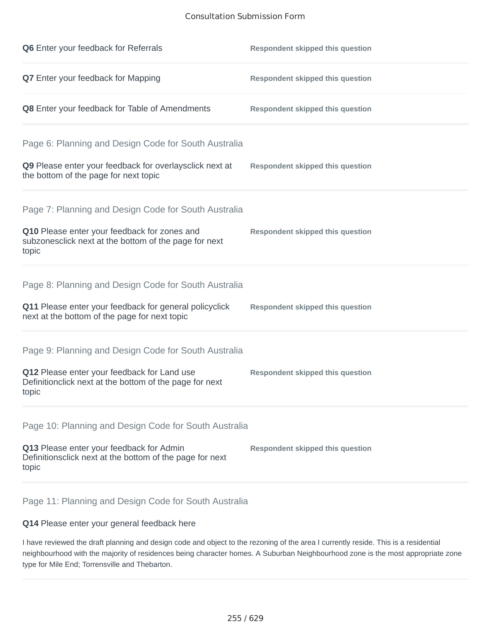## Consultation Submission Form

| Q6 Enter your feedback for Referrals                                                                            | <b>Respondent skipped this question</b> |
|-----------------------------------------------------------------------------------------------------------------|-----------------------------------------|
| <b>Q7</b> Enter your feedback for Mapping                                                                       | <b>Respondent skipped this question</b> |
| Q8 Enter your feedback for Table of Amendments                                                                  | <b>Respondent skipped this question</b> |
| Page 6: Planning and Design Code for South Australia                                                            |                                         |
| Q9 Please enter your feedback for overlaysclick next at<br>the bottom of the page for next topic                | <b>Respondent skipped this question</b> |
| Page 7: Planning and Design Code for South Australia                                                            |                                         |
| Q10 Please enter your feedback for zones and<br>subzonesclick next at the bottom of the page for next<br>topic  | <b>Respondent skipped this question</b> |
| Page 8: Planning and Design Code for South Australia                                                            |                                         |
| Q11 Please enter your feedback for general policyclick<br>next at the bottom of the page for next topic         | <b>Respondent skipped this question</b> |
| Page 9: Planning and Design Code for South Australia                                                            |                                         |
| Q12 Please enter your feedback for Land use<br>Definitionclick next at the bottom of the page for next<br>topic | <b>Respondent skipped this question</b> |
| Page 10: Planning and Design Code for South Australia                                                           |                                         |
| Q13 Please enter your feedback for Admin<br>Definitionsclick next at the bottom of the page for next<br>topic   | <b>Respondent skipped this question</b> |
|                                                                                                                 |                                         |

Page 11: Planning and Design Code for South Australia

## **Q14** Please enter your general feedback here

I have reviewed the draft planning and design code and object to the rezoning of the area I currently reside. This is a residential neighbourhood with the majority of residences being character homes. A Suburban Neighbourhood zone is the most appropriate zone type for Mile End; Torrensville and Thebarton.